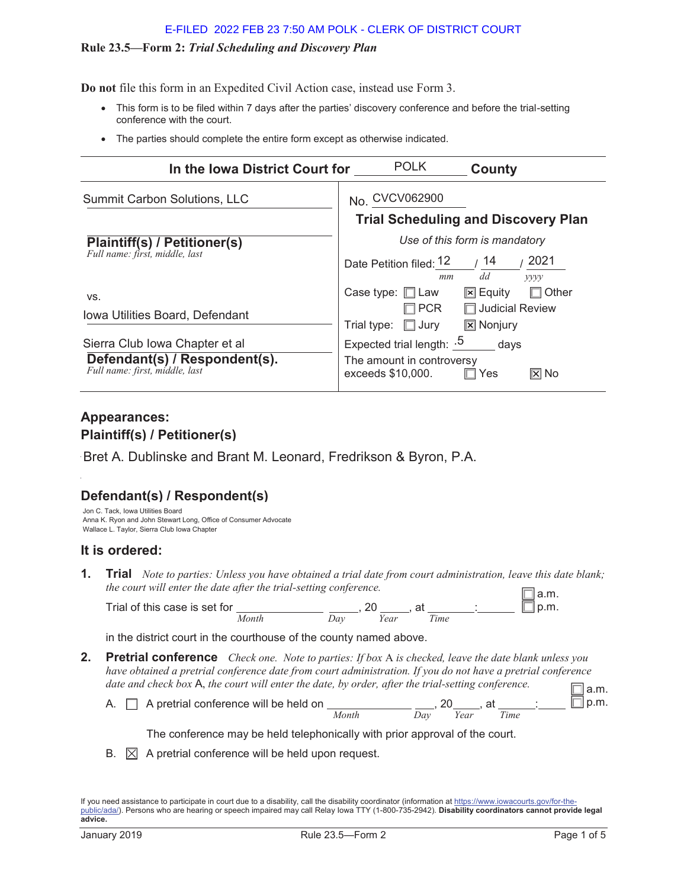## E-FILED 2022 FEB 23 7:50 AM POLK - CLERK OF DISTRICT COURT

## **Rule 23.5—Form 2:** *Trial Scheduling and Discovery Plan*

**Do not** file this form in an Expedited Civil Action case, instead use Form 3.

- This form is to be filed within 7 days after the parties' discovery conference and before the trial-setting conference with the court.
- The parties should complete the entire form except as otherwise indicated.

| In the lowa District Court for                                                                    | <b>POLK</b><br>County                                                                              |
|---------------------------------------------------------------------------------------------------|----------------------------------------------------------------------------------------------------|
| Summit Carbon Solutions, LLC                                                                      | No. CVCV062900                                                                                     |
|                                                                                                   | <b>Trial Scheduling and Discovery Plan</b>                                                         |
| Plaintiff(s) / Petitioner(s)                                                                      | Use of this form is mandatory                                                                      |
| Full name: first, middle, last                                                                    | 2021<br>14<br>Date Petition filed: 12<br>dd<br>mm<br>yyyy                                          |
| VS.                                                                                               | Case type: $\Box$ Law<br>$\boxed{\mathbf{x}}$ Equity<br>Other                                      |
| Iowa Utilities Board, Defendant                                                                   | □ Judicial Review<br>PCR <sup></sup><br>$\boxed{\mathbf{x}}$ Nonjury<br>Trial type:<br>$\Box$ Jury |
| Sierra Club Iowa Chapter et al<br>Defendant(s) / Respondent(s).<br>Full name: first, middle, last | Expected trial length: $.5$ days<br>The amount in controversy<br>exceeds \$10,000.<br>l⊠ No<br>Yes |

## **Appearances: Plaintiff(s) / Petitioner(s)**

Bret A. Dublinske and Brant M. Leonard, Fredrikson & Byron, P.A.

# **Defendant(s) / Respondent(s)**

Jon C. Tack, Iowa Utilities Board Anna K. Ryon and John Stewart Long, Office of Consumer Advocate Wallace L. Taylor, Sierra Club Iowa Chapter

## **It is ordered:**

**1. Trial** *Note to parties: Unless you have obtained a trial date from court administration, leave this date blank; the court will enter the date after the trial-setting conference.* a.m.

Trial of this case is set for \_\_\_\_\_\_\_\_\_\_\_\_\_ \_\_\_\_, 20 \_\_\_\_, at \_\_\_\_\_\_\_; *Month Day Year Time*  $\exists$  p.m.

in the district court in the courthouse of the county named above.

**2. Pretrial conference** *Check one. Note to parties: If box* A *is checked, leave the date blank unless you have obtained a pretrial conference date from court administration. If you do not have a pretrial conference date and check box* A, *the court will enter the date, by order, after the trial-setting conference.*

| adie and check box <b>A</b> , the court will enter the date, by order, after the trial-setting conference. |       |     |      |      | $\exists$ a.m. |
|------------------------------------------------------------------------------------------------------------|-------|-----|------|------|----------------|
| A. $\Box$ A pretrial conference will be held on                                                            |       |     |      | . at | ∃l p.m.        |
|                                                                                                            | Month | Dav | Year | Time |                |

The conference may be held telephonically with prior approval of the court.

B.  $\boxtimes$  A pretrial conference will be held upon request.

If you need assistance to participate in court due to a disability, call the disability coordinator (information at https://www.iowacourts.gov/for-thepublic/ada/). Persons who are hearing or speech impaired may call Relay Iowa TTY (1-800-735-2942). **Disability coordinators cannot provide legal advice.**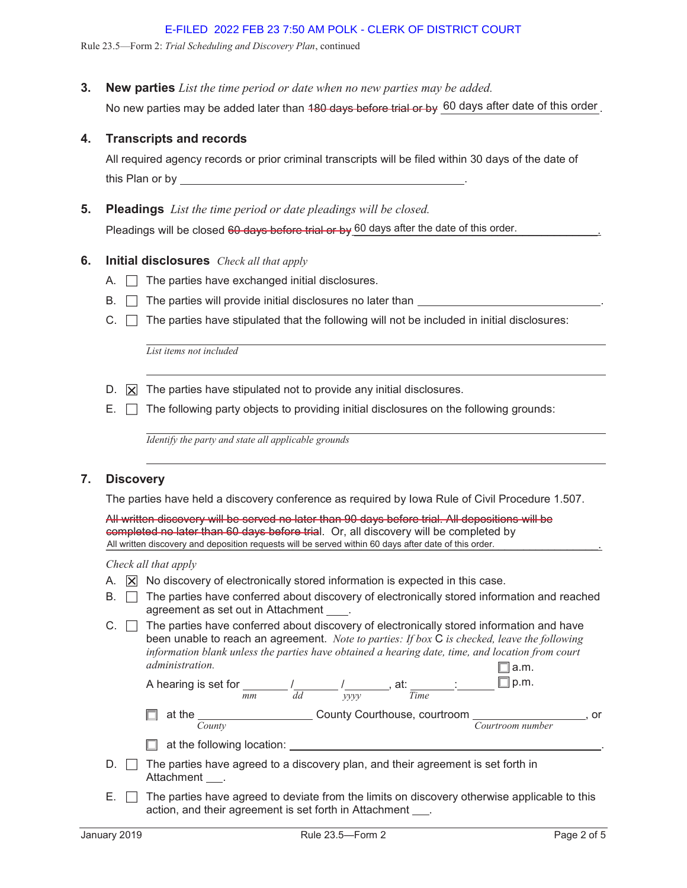Rule 23.5—Form 2: *Trial Scheduling and Discovery Plan*, continued

**3. New parties** *List the time period or date when no new parties may be added.*

No new parties may be added later than <del>180 days before trial or by</del> .60 days after date of this order .

## **4. Transcripts and records**

All required agency records or prior criminal transcripts will be filed within 30 days of the date of this Plan or by

### **5. Pleadings** *List the time period or date pleadings will be closed.*

Pleadings will be closed 60 days before trial or by 60 days after the date of this order.

## **6. Initial disclosures** *Check all that apply*

- A.  $\Box$  The parties have exchanged initial disclosures.
- $B. \Box$  The parties will provide initial disclosures no later than  $\Box$
- $C. \Box$  The parties have stipulated that the following will not be included in initial disclosures:

*List items not included*

- D.  $\overline{X}$  The parties have stipulated not to provide any initial disclosures.
- $E. \Box$  The following party objects to providing initial disclosures on the following grounds:

*Identify the party and state all applicable grounds*

## **7. Discovery**

The parties have held a discovery conference as required by Iowa Rule of Civil Procedure 1.507.

All written discovery will be served no later than 90 days before trial. All depositions will be completed no later than 60 days before trial. Or, all discovery will be completed by All written discovery and deposition requests will be served within 60 days after date of this order.

#### *Check all that apply*

- A.  $\overline{X}$  No discovery of electronically stored information is expected in this case.
- $B. \Box$  The parties have conferred about discovery of electronically stored information and reached agreement as set out in Attachment \_
- $C.$   $\Box$  The parties have conferred about discovery of electronically stored information and have been unable to reach an agreement. *Note to parties: If box* C *is checked, leave the following information blank unless the parties have obtained a hearing date, time, and location from court administration.*  $\square$  a.m.

| A hearing is set for |    |      | aı.                         |  |        |
|----------------------|----|------|-----------------------------|--|--------|
|                      | mm | vvvr | i ime                       |  |        |
| $\sim$ + + $\sim$    |    |      | County Courthouse courtroom |  | $\sim$ |

| at the |        | County Courthouse, courtroom |                  |  |
|--------|--------|------------------------------|------------------|--|
|        | Sounty |                              | Courtroom number |  |

- $\Box$  at the following location:
- $D. \Box$  The parties have agreed to a discovery plan, and their agreement is set forth in Attachment .
- $E. \Box$  The parties have agreed to deviate from the limits on discovery otherwise applicable to this action, and their agreement is set forth in Attachment.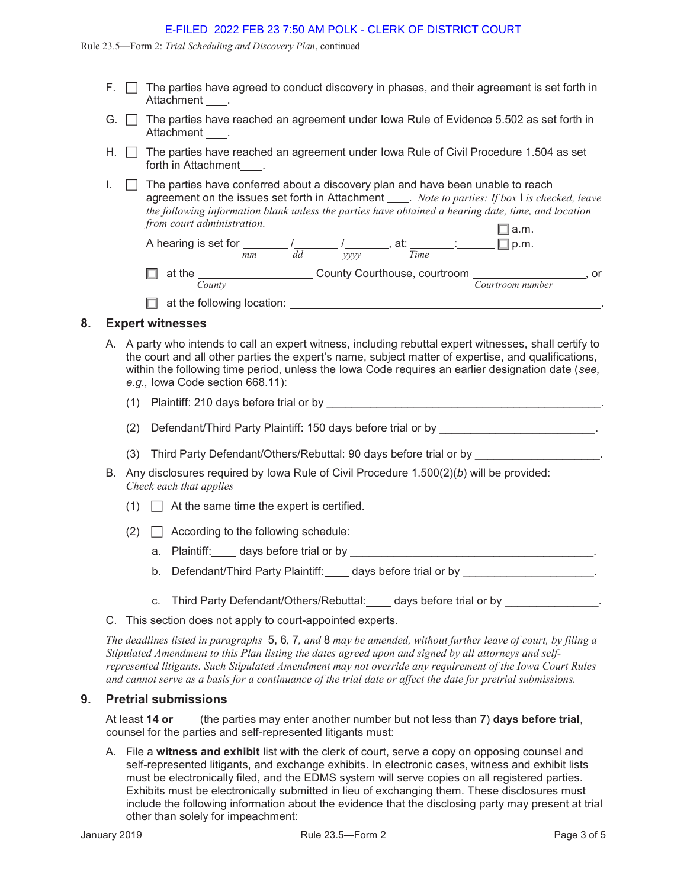#### E-FILED 2022 FEB 23 7:50 AM POLK - CLERK OF DISTRICT COURT

Rule 23.5—Form 2: *Trial Scheduling and Discovery Plan*, continued

- $F. \Box$  The parties have agreed to conduct discovery in phases, and their agreement is set forth in Attachment .
- G.  $\Box$  The parties have reached an agreement under lowa Rule of Evidence 5.502 as set forth in Attachment .
- H.  $\Box$  The parties have reached an agreement under Iowa Rule of Civil Procedure 1.504 as set forth in Attachment
- $I. \Box$  The parties have conferred about a discovery plan and have been unable to reach agreement on the issues set forth in Attachment \_\_\_\_\_. Note to parties: If box I is checked, leave *the following information blank unless the parties have obtained a hearing date, time, and location from court administration.*  $\Box$  a.m.

| A hearing is set for |    |    |      | at:                          | ID.M.            |    |
|----------------------|----|----|------|------------------------------|------------------|----|
|                      | mm | dd | vvvv | Time                         |                  |    |
| at the               |    |    |      | County Courthouse, courtroom |                  | or |
| <i>County</i>        |    |    |      |                              | Courtroom number |    |

 $\Box$  at the following location:

## **8. Expert witnesses**

- A. A party who intends to call an expert witness, including rebuttal expert witnesses, shall certify to the court and all other parties the expert's name, subject matter of expertise, and qualifications, within the following time period, unless the Iowa Code requires an earlier designation date (*see, e.g.,* Iowa Code section 668.11):
	- (1) Plaintiff: 210 days before trial or by \_\_\_\_\_\_\_\_\_\_\_\_\_\_\_\_\_\_\_\_\_\_\_\_\_\_\_\_\_\_\_\_\_\_\_\_\_\_\_\_\_\_\_\_.
	- (2) Defendant/Third Party Plaintiff: 150 days before trial or by \_\_\_\_\_\_\_\_\_\_\_\_\_\_\_\_\_\_\_\_\_\_\_\_\_\_\_.
	- (3) Third Party Defendant/Others/Rebuttal: 90 days before trial or by
- B. Any disclosures required by Iowa Rule of Civil Procedure 1.500(2)(*b*) will be provided: *Check each that applies*
	- $(1)$   $\Box$  At the same time the expert is certified.
	- $(2)$   $\Box$  According to the following schedule:
		- a. Plaintiff: days before trial or by **example and properties**.
		- b. Defendant/Third Party Plaintiff: days before trial or by contract the contract of the contract of the contract of the contract of the contract of the contract of the contract of the contract of the contract of the contr
		- c. Third Party Defendant/Others/Rebuttal: days before trial or by  $\blacksquare$
- C. This section does not apply to court-appointed experts.

*The deadlines listed in paragraphs* 5, 6*,* 7*, and* 8 *may be amended, without further leave of court, by filing a Stipulated Amendment to this Plan listing the dates agreed upon and signed by all attorneys and selfrepresented litigants. Such Stipulated Amendment may not override any requirement of the Iowa Court Rules and cannot serve as a basis for a continuance of the trial date or affect the date for pretrial submissions.*

## **9. Pretrial submissions**

At least **14 or** (the parties may enter another number but not less than **7**) **days before trial**, counsel for the parties and self-represented litigants must:

A. File a **witness and exhibit** list with the clerk of court, serve a copy on opposing counsel and self-represented litigants, and exchange exhibits. In electronic cases, witness and exhibit lists must be electronically filed, and the EDMS system will serve copies on all registered parties. Exhibits must be electronically submitted in lieu of exchanging them. These disclosures must include the following information about the evidence that the disclosing party may present at trial other than solely for impeachment: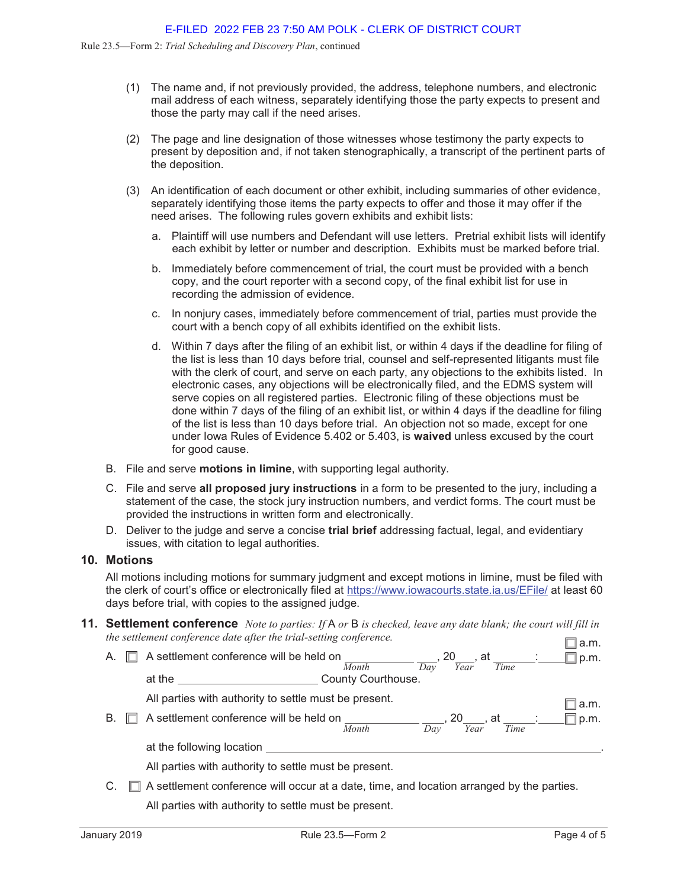- (1) The name and, if not previously provided, the address, telephone numbers, and electronic mail address of each witness, separately identifying those the party expects to present and those the party may call if the need arises.
- (2) The page and line designation of those witnesses whose testimony the party expects to present by deposition and, if not taken stenographically, a transcript of the pertinent parts of the deposition.
- (3) An identification of each document or other exhibit, including summaries of other evidence, separately identifying those items the party expects to offer and those it may offer if the need arises. The following rules govern exhibits and exhibit lists:
	- a. Plaintiff will use numbers and Defendant will use letters. Pretrial exhibit lists will identify each exhibit by letter or number and description. Exhibits must be marked before trial.
	- b. Immediately before commencement of trial, the court must be provided with a bench copy, and the court reporter with a second copy, of the final exhibit list for use in recording the admission of evidence.
	- c. In nonjury cases, immediately before commencement of trial, parties must provide the court with a bench copy of all exhibits identified on the exhibit lists.
	- d. Within 7 days after the filing of an exhibit list, or within 4 days if the deadline for filing of the list is less than 10 days before trial, counsel and self-represented litigants must file with the clerk of court, and serve on each party, any objections to the exhibits listed. In electronic cases, any objections will be electronically filed, and the EDMS system will serve copies on all registered parties. Electronic filing of these objections must be done within 7 days of the filing of an exhibit list, or within 4 days if the deadline for filing of the list is less than 10 days before trial. An objection not so made, except for one under Iowa Rules of Evidence 5.402 or 5.403, is **waived** unless excused by the court for good cause.
- B. File and serve **motions in limine**, with supporting legal authority.
- C. File and serve **all proposed jury instructions** in a form to be presented to the jury, including a statement of the case, the stock jury instruction numbers, and verdict forms. The court must be provided the instructions in written form and electronically.
- D. Deliver to the judge and serve a concise **trial brief** addressing factual, legal, and evidentiary issues, with citation to legal authorities.

#### **10. Motions**

All motions including motions for summary judgment and except motions in limine, must be filed with the clerk of court's office or electronically filed at https://www.iowacourts.state.ia.us/EFile/ at least 60 days before trial, with copies to the assigned judge.

**11. Settlement conference** *Note to parties: If* A *or* B *is checked, leave any date blank; the court will fill in the settlement conference date after the trial-setting conference.*  $\Box$  a.m.

| А. | A settlement conference will be held on<br><b>20</b><br>at<br>Time<br>Dav<br>Year<br>Month | p.m.  |
|----|--------------------------------------------------------------------------------------------|-------|
|    | County Courthouse.<br>at the                                                               |       |
|    | All parties with authority to settle must be present.                                      | !a.m. |
| В. | A settlement conference will be held on<br>20 . at<br>Time<br>Year<br>Month<br>Dav         | p.m.  |
|    | at the following location                                                                  |       |
|    | All parties with authority to settle must be present.                                      |       |

C.  $\Box$  A settlement conference will occur at a date, time, and location arranged by the parties. All parties with authority to settle must be present.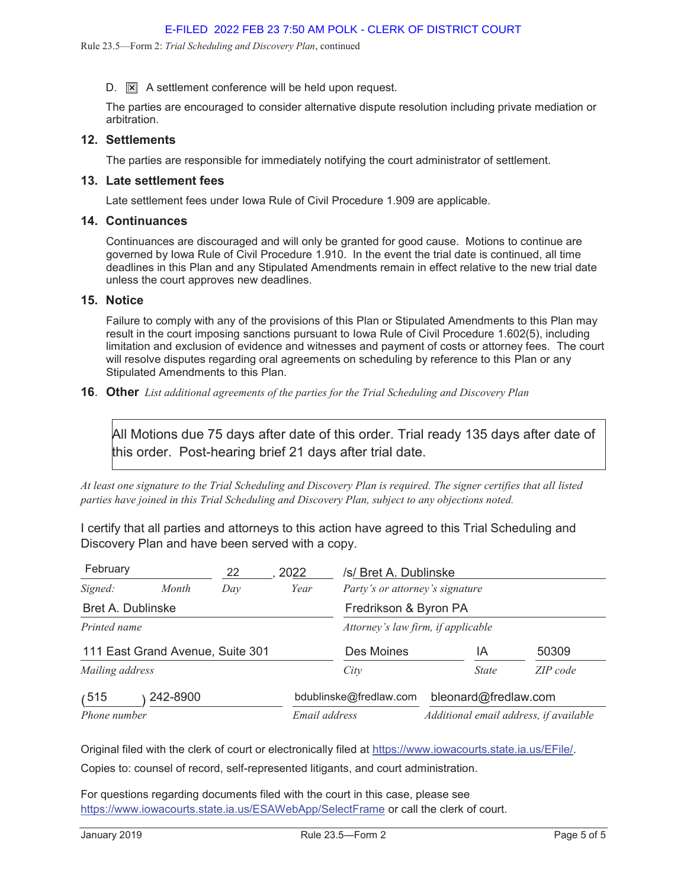$D.$   $\boxed{\times}$  A settlement conference will be held upon request.

The parties are encouraged to consider alternative dispute resolution including private mediation or arbitration.

## **12. Settlements**

The parties are responsible for immediately notifying the court administrator of settlement.

### **13. Late settlement fees**

Late settlement fees under Iowa Rule of Civil Procedure 1.909 are applicable.

## **14. Continuances**

Continuances are discouraged and will only be granted for good cause. Motions to continue are governed by Iowa Rule of Civil Procedure 1.910. In the event the trial date is continued, all time deadlines in this Plan and any Stipulated Amendments remain in effect relative to the new trial date unless the court approves new deadlines.

## **15. Notice**

Failure to comply with any of the provisions of this Plan or Stipulated Amendments to this Plan may result in the court imposing sanctions pursuant to Iowa Rule of Civil Procedure 1.602(5), including limitation and exclusion of evidence and witnesses and payment of costs or attorney fees. The court will resolve disputes regarding oral agreements on scheduling by reference to this Plan or any Stipulated Amendments to this Plan.

### **16**. **Other** *List additional agreements of the parties for the Trial Scheduling and Discovery Plan*

All Motions due 75 days after date of this order. Trial ready 135 days after date of this order. Post-hearing brief 21 days after trial date.

*At least one signature to the Trial Scheduling and Discovery Plan is required. The signer certifies that all listed parties have joined in this Trial Scheduling and Discovery Plan, subject to any objections noted.*

I certify that all parties and attorneys to this action have agreed to this Trial Scheduling and Discovery Plan and have been served with a copy.

| February                             |                                  | 22  | 2022 | /s/ Bret A. Dublinske                  |                      |          |  |  |
|--------------------------------------|----------------------------------|-----|------|----------------------------------------|----------------------|----------|--|--|
| Signed:                              | Month                            | Dav | Year | Party's or attorney's signature        |                      |          |  |  |
| <b>Bret A. Dublinske</b>             |                                  |     |      | Fredrikson & Byron PA                  |                      |          |  |  |
| Printed name                         |                                  |     |      | Attorney's law firm, if applicable     |                      |          |  |  |
|                                      | 111 East Grand Avenue, Suite 301 |     |      | Des Moines                             | ΙA                   | 50309    |  |  |
| Mailing address                      |                                  |     |      | City                                   | <i>State</i>         | ZIP code |  |  |
| 515<br>242-8900                      |                                  |     |      | bdublinske@fredlaw.com                 | bleonard@fredlaw.com |          |  |  |
| Email address<br><i>Phone number</i> |                                  |     |      | Additional email address, if available |                      |          |  |  |

Original filed with the clerk of court or electronically filed at https://www.iowacourts.state.ia.us/EFile/.

Copies to: counsel of record, self-represented litigants, and court administration.

For questions regarding documents filed with the court in this case, please see https://www.iowacourts.state.ia.us/ESAWebApp/SelectFrame or call the clerk of court.